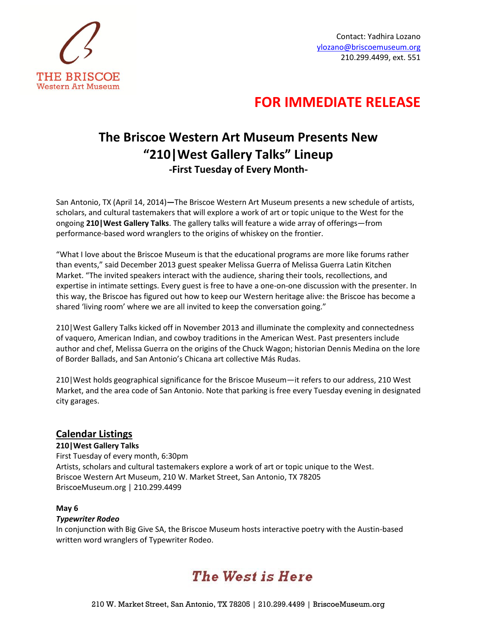

Contact: Yadhira Lozano ylozano@briscoemuseum.org 210.299.4499, ext. 551

### **FOR IMMEDIATE RELEASE**

### **The Briscoe Western Art Museum Presents New "210|West Gallery Talks" Lineup -First Tuesday of Every Month-**

San Antonio, TX (April 14, 2014)**—**The Briscoe Western Art Museum presents a new schedule of artists, scholars, and cultural tastemakers that will explore a work of art or topic unique to the West for the ongoing **210|West Gallery Talks**. The gallery talks will feature a wide array of offerings—from performance-based word wranglers to the origins of whiskey on the frontier.

"What I love about the Briscoe Museum is that the educational programs are more like forums rather than events," said December 2013 guest speaker Melissa Guerra of Melissa Guerra Latin Kitchen Market. "The invited speakers interact with the audience, sharing their tools, recollections, and expertise in intimate settings. Every guest is free to have a one-on-one discussion with the presenter. In this way, the Briscoe has figured out how to keep our Western heritage alive: the Briscoe has become a shared 'living room' where we are all invited to keep the conversation going."

210|West Gallery Talks kicked off in November 2013 and illuminate the complexity and connectedness of vaquero, American Indian, and cowboy traditions in the American West. Past presenters include author and chef, Melissa Guerra on the origins of the Chuck Wagon; historian Dennis Medina on the lore of Border Ballads, and San Antonio's Chicana art collective Más Rudas.

210|West holds geographical significance for the Briscoe Museum—it refers to our address, 210 West Market, and the area code of San Antonio. Note that parking is free every Tuesday evening in designated city garages.

### **Calendar Listings**

**210|West Gallery Talks** First Tuesday of every month, 6:30pm Artists, scholars and cultural tastemakers explore a work of art or topic unique to the West. Briscoe Western Art Museum, 210 W. Market Street, San Antonio, TX 78205 BriscoeMuseum.org | 210.299.4499

#### **May 6**

#### *Typewriter Rodeo*

In conjunction with Big Give SA, the Briscoe Museum hosts interactive poetry with the Austin-based written word wranglers of Typewriter Rodeo.

# **The West is Here**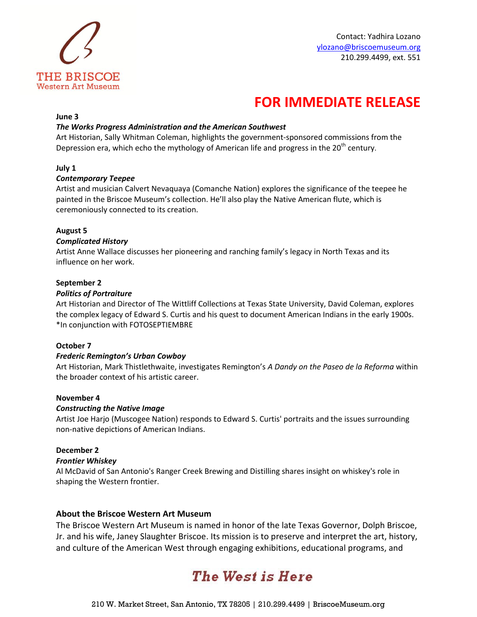

## **FOR IMMEDIATE RELEASE**

#### **June 3**

#### *The Works Progress Administration and the American Southwest*

Art Historian, Sally Whitman Coleman, highlights the government-sponsored commissions from the Depression era, which echo the mythology of American life and progress in the 20<sup>th</sup> century.

#### **July 1**

#### *Contemporary Teepee*

Artist and musician Calvert Nevaquaya (Comanche Nation) explores the significance of the teepee he painted in the Briscoe Museum's collection. He'll also play the Native American flute, which is ceremoniously connected to its creation.

#### **August 5**

#### *Complicated History*

Artist Anne Wallace discusses her pioneering and ranching family's legacy in North Texas and its influence on her work.

#### **September 2**

#### *Politics of Portraiture*

Art Historian and Director of The Wittliff Collections at Texas State University, David Coleman, explores the complex legacy of Edward S. Curtis and his quest to document American Indians in the early 1900s. \*In conjunction with FOTOSEPTIEMBRE

#### **October 7**

#### *Frederic Remington's Urban Cowboy*

Art Historian, Mark Thistlethwaite, investigates Remington's *A Dandy on the Paseo de la Reforma* within the broader context of his artistic career.

#### **November 4**

#### *Constructing the Native Image*

Artist Joe Harjo (Muscogee Nation) responds to Edward S. Curtis' portraits and the issues surrounding non-native depictions of American Indians.

#### **December 2**

#### *Frontier Whiskey*

Al McDavid of San Antonio's Ranger Creek Brewing and Distilling shares insight on whiskey's role in shaping the Western frontier.

#### **About the Briscoe Western Art Museum**

The Briscoe Western Art Museum is named in honor of the late Texas Governor, Dolph Briscoe, Jr. and his wife, Janey Slaughter Briscoe. Its mission is to preserve and interpret the art, history, and culture of the American West through engaging exhibitions, educational programs, and

# **The West is Here**